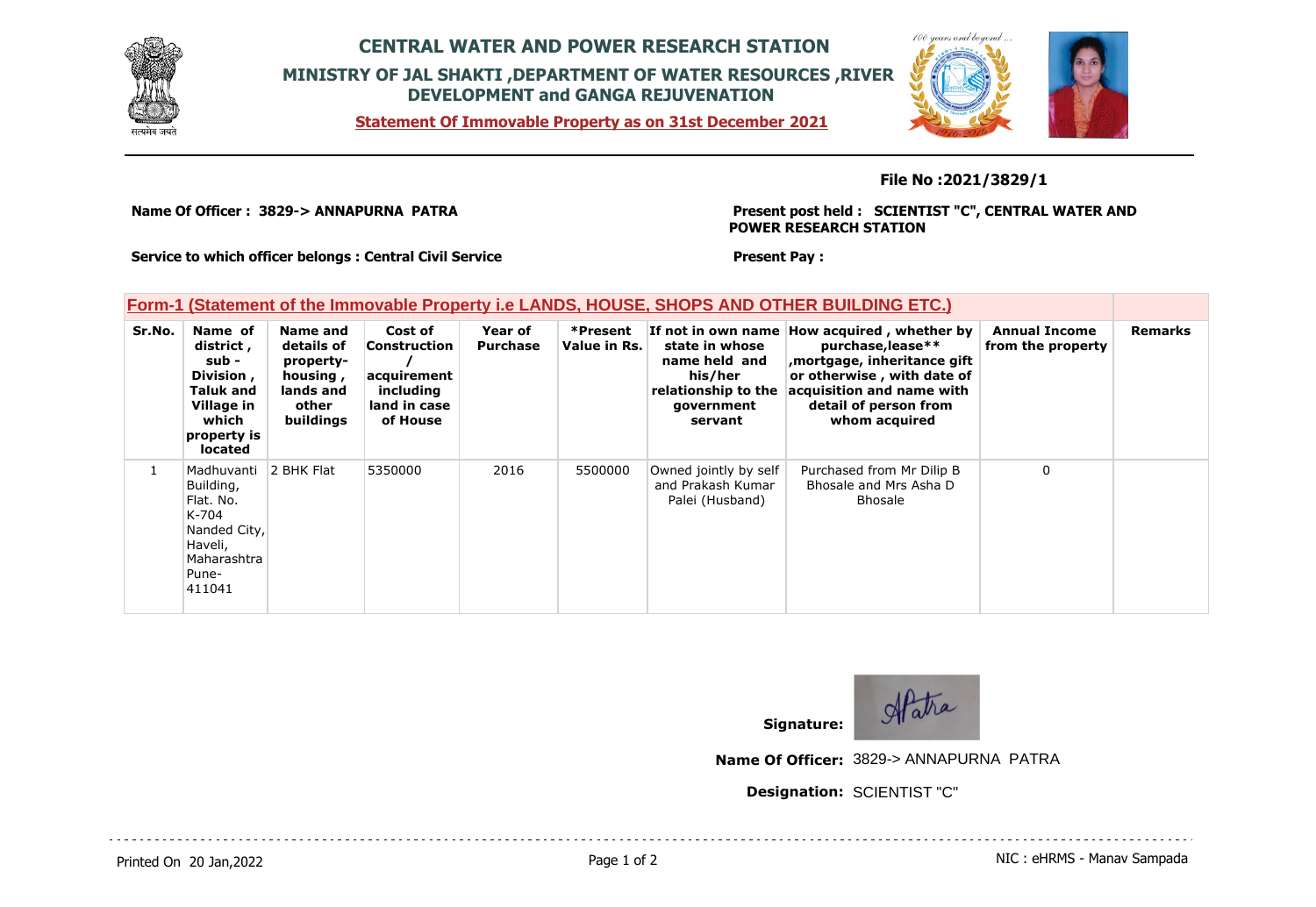

## **CENTRAL WATER AND POWER RESEARCH STATION MINISTRY OF JAL SHAKTI ,DEPARTMENT OF WATER RESOURCES ,RIVER DEVELOPMENT and GANGA REJUVENATION**

**Statement Of Immovable Property as on 31st December 2021**



#### **File No :2021/3829/1**

**Name Of Officer : 3829-> ANNAPURNA PATRA** 

**Present post held : SCIENTIST "C", CENTRAL WATER AND POWER RESEARCH STATION**

**Service to which officer belongs : Central Civil Service**

#### **Present Pay :**

### **Form-1 (Statement of the Immovable Property i.e LANDS, HOUSE, SHOPS AND OTHER BUILDING ETC.)**

| Sr.No. | Name of<br>district,<br>sub -<br>Division,<br>Taluk and<br>Village in<br>which<br>property is<br>located   | Name and<br>details of<br>property-<br>housing,<br>lands and<br>other<br>buildings | Cost of<br><b>Construction</b><br>acquirement<br>including<br>land in case<br>of House | Year of<br><b>Purchase</b> | *Present<br>Value in Rs. | If not in own name<br>state in whose<br>name held and<br>his/her<br>relationship to the<br>government<br>servant | How acquired, whether by<br>purchase, lease**<br>mortgage, inheritance gift<br>or otherwise, with date of<br>acquisition and name with<br>detail of person from<br>whom acquired | <b>Annual Income</b><br>from the property | <b>Remarks</b> |
|--------|------------------------------------------------------------------------------------------------------------|------------------------------------------------------------------------------------|----------------------------------------------------------------------------------------|----------------------------|--------------------------|------------------------------------------------------------------------------------------------------------------|----------------------------------------------------------------------------------------------------------------------------------------------------------------------------------|-------------------------------------------|----------------|
|        | Madhuvanti<br>Building,<br>Flat. No.<br>K-704<br>Nanded City,<br>Haveli,<br>Maharashtra<br>Pune-<br>411041 | 2 BHK Flat                                                                         | 5350000                                                                                | 2016                       | 5500000                  | Owned jointly by self<br>and Prakash Kumar<br>Palei (Husband)                                                    | Purchased from Mr Dilip B<br>Bhosale and Mrs Asha D<br><b>Bhosale</b>                                                                                                            | $\Omega$                                  |                |



**Name Of Officer:** 3829-> ANNAPURNA PATRA

**Designation:** SCIENTIST "C"

Printed On 20 Jan, 2022 **Page 1 of 2** Page 1 of 2 **Page 1 of 2** NIC : eHRMS - Manav Sampada